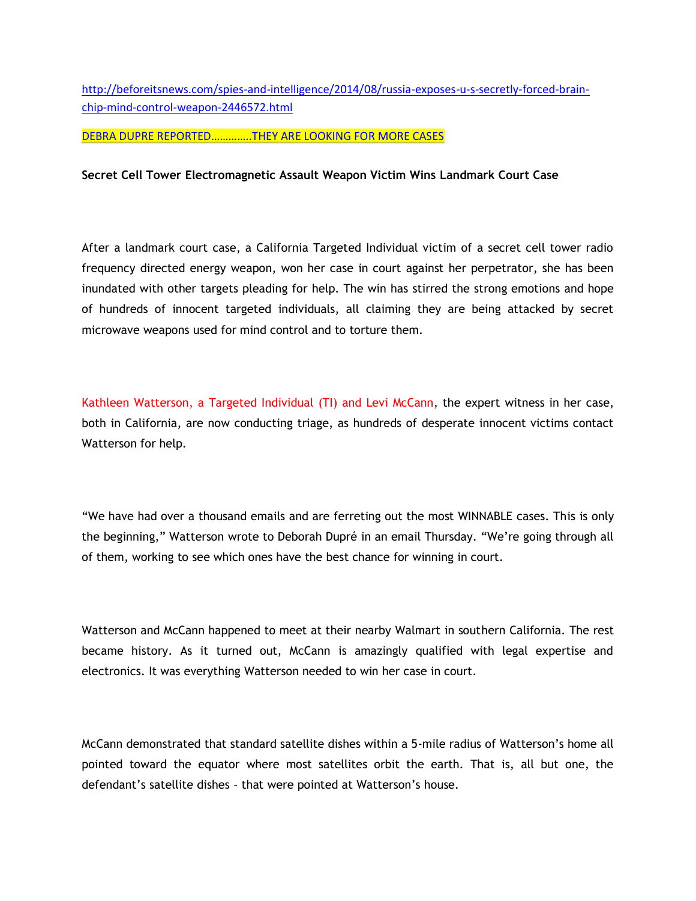http://beforeitsnews.com/spies-and-intelligence/2014/08/russia-exposes-u-s-secretly-forced-brainchip-mind-control-weapon-2446572.html

DEBRA DUPRE REPORTED…………..THEY ARE LOOKING FOR MORE CASES

## **Secret Cell Tower Electromagnetic Assault Weapon Victim Wins Landmark Court Case**

After a landmark court case, a California Targeted Individual victim of a secret cell tower radio frequency directed energy weapon, won her case in court against her perpetrator, she has been inundated with other targets pleading for help. The win has stirred the strong emotions and hope of hundreds of innocent targeted individuals, all claiming they are being attacked by secret microwave weapons used for mind control and to torture them.

Kathleen Watterson, a Targeted Individual (TI) and Levi McCann, the expert witness in her case, both in California, are now conducting triage, as hundreds of desperate innocent victims contact Watterson for help.

"We have had over a thousand emails and are ferreting out the most WINNABLE cases. This is only the beginning," Watterson wrote to Deborah Dupré in an email Thursday. "We're going through all of them, working to see which ones have the best chance for winning in court.

Watterson and McCann happened to meet at their nearby Walmart in southern California. The rest became history. As it turned out, McCann is amazingly qualified with legal expertise and electronics. It was everything Watterson needed to win her case in court.

McCann demonstrated that standard satellite dishes within a 5-mile radius of Watterson's home all pointed toward the equator where most satellites orbit the earth. That is, all but one, the defendant's satellite dishes – that were pointed at Watterson's house.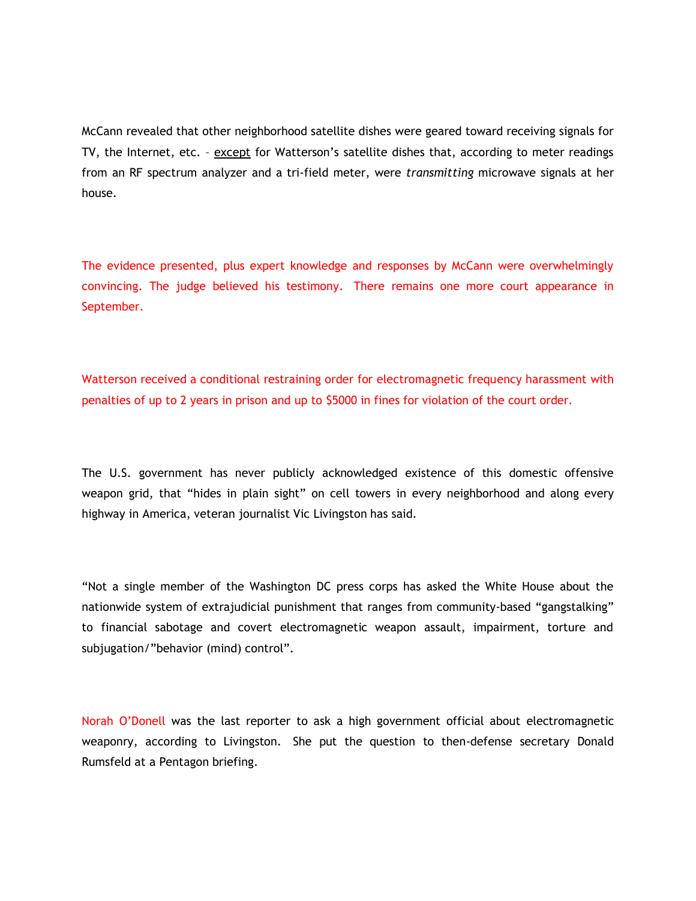McCann revealed that other neighborhood satellite dishes were geared toward receiving signals for TV, the Internet, etc. – except for Watterson's satellite dishes that, according to meter readings from an RF spectrum analyzer and a tri-field meter, were *transmitting* microwave signals at her house.

The evidence presented, plus expert knowledge and responses by McCann were overwhelmingly convincing. The judge believed his testimony. There remains one more court appearance in September.

Watterson received a conditional restraining order for electromagnetic frequency harassment with penalties of up to 2 years in prison and up to \$5000 in fines for violation of the court order.

The U.S. government has never publicly acknowledged existence of this domestic offensive weapon grid, that "hides in plain sight" on cell towers in every neighborhood and along every highway in America, veteran journalist Vic Livingston has said.

"Not a single member of the Washington DC press corps has asked the White House about the nationwide system of extrajudicial punishment that ranges from community-based "gangstalking" to financial sabotage and covert electromagnetic weapon assault, impairment, torture and subjugation/"behavior (mind) control".

Norah O'Donell was the last reporter to ask a high government official about electromagnetic weaponry, according to Livingston. She put the question to then-defense secretary Donald Rumsfeld at a Pentagon briefing.